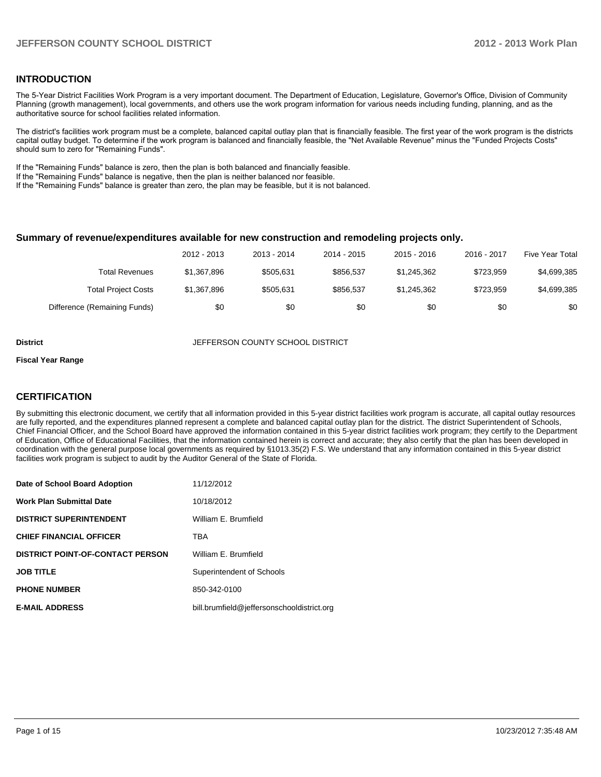## **INTRODUCTION**

The 5-Year District Facilities Work Program is a very important document. The Department of Education, Legislature, Governor's Office, Division of Community Planning (growth management), local governments, and others use the work program information for various needs including funding, planning, and as the authoritative source for school facilities related information.

The district's facilities work program must be a complete, balanced capital outlay plan that is financially feasible. The first year of the work program is the districts capital outlay budget. To determine if the work program is balanced and financially feasible, the "Net Available Revenue" minus the "Funded Projects Costs" should sum to zero for "Remaining Funds".

If the "Remaining Funds" balance is zero, then the plan is both balanced and financially feasible.

If the "Remaining Funds" balance is negative, then the plan is neither balanced nor feasible.

If the "Remaining Funds" balance is greater than zero, the plan may be feasible, but it is not balanced.

#### **Summary of revenue/expenditures available for new construction and remodeling projects only.**

|                              | 2012 - 2013 | 2013 - 2014 | 2014 - 2015 | $2015 - 2016$ | 2016 - 2017 | Five Year Total |
|------------------------------|-------------|-------------|-------------|---------------|-------------|-----------------|
| Total Revenues               | \$1.367.896 | \$505.631   | \$856.537   | \$1.245.362   | \$723.959   | \$4,699,385     |
| <b>Total Project Costs</b>   | \$1,367,896 | \$505.631   | \$856.537   | \$1.245.362   | \$723.959   | \$4,699,385     |
| Difference (Remaining Funds) | \$0         | \$0         | \$0         | \$0           | \$0         | \$0             |

**District JEFFERSON COUNTY SCHOOL DISTRICT** 

#### **Fiscal Year Range**

## **CERTIFICATION**

By submitting this electronic document, we certify that all information provided in this 5-year district facilities work program is accurate, all capital outlay resources are fully reported, and the expenditures planned represent a complete and balanced capital outlay plan for the district. The district Superintendent of Schools, Chief Financial Officer, and the School Board have approved the information contained in this 5-year district facilities work program; they certify to the Department of Education, Office of Educational Facilities, that the information contained herein is correct and accurate; they also certify that the plan has been developed in coordination with the general purpose local governments as required by §1013.35(2) F.S. We understand that any information contained in this 5-year district facilities work program is subject to audit by the Auditor General of the State of Florida.

| Date of School Board Adoption           | 11/12/2012                                 |
|-----------------------------------------|--------------------------------------------|
| <b>Work Plan Submittal Date</b>         | 10/18/2012                                 |
| <b>DISTRICT SUPERINTENDENT</b>          | William E. Brumfield                       |
| <b>CHIEF FINANCIAL OFFICER</b>          | <b>TRA</b>                                 |
| <b>DISTRICT POINT-OF-CONTACT PERSON</b> | William E. Brumfield                       |
| <b>JOB TITLE</b>                        | Superintendent of Schools                  |
| <b>PHONE NUMBER</b>                     | 850-342-0100                               |
| <b>E-MAIL ADDRESS</b>                   | bill.brumfield@jeffersonschooldistrict.org |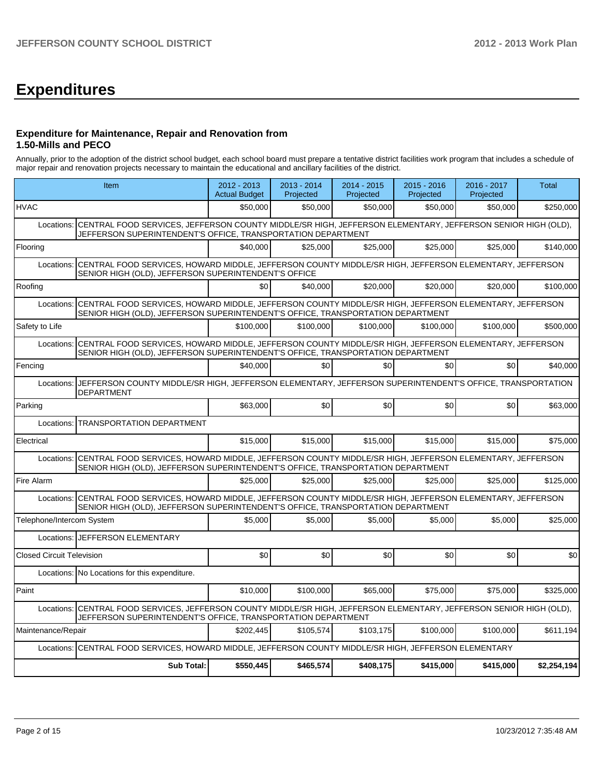# **Expenditures**

## **Expenditure for Maintenance, Repair and Renovation from 1.50-Mills and PECO**

Annually, prior to the adoption of the district school budget, each school board must prepare a tentative district facilities work program that includes a schedule of major repair and renovation projects necessary to maintain the educational and ancillary facilities of the district.

|                                  | Item                                                                                                                                                                                      | 2012 - 2013<br><b>Actual Budget</b> | 2013 - 2014<br>Projected | 2014 - 2015<br>Projected | 2015 - 2016<br>Projected | 2016 - 2017<br>Projected | Total       |  |  |
|----------------------------------|-------------------------------------------------------------------------------------------------------------------------------------------------------------------------------------------|-------------------------------------|--------------------------|--------------------------|--------------------------|--------------------------|-------------|--|--|
| <b>HVAC</b>                      |                                                                                                                                                                                           | \$50,000                            | \$50,000                 | \$50,000                 | \$50,000                 | \$50,000                 | \$250,000   |  |  |
| Locations:                       | CENTRAL FOOD SERVICES, JEFFERSON COUNTY MIDDLE/SR HIGH, JEFFERSON ELEMENTARY, JEFFERSON SENIOR HIGH (OLD),<br>JEFFERSON SUPERINTENDENT'S OFFICE, TRANSPORTATION DEPARTMENT                |                                     |                          |                          |                          |                          |             |  |  |
| Flooring                         |                                                                                                                                                                                           | \$40,000                            | \$25,000                 | \$25,000                 | \$25,000                 | \$25,000                 | \$140.000   |  |  |
| Locations:                       | CENTRAL FOOD SERVICES, HOWARD MIDDLE, JEFFERSON COUNTY MIDDLE/SR HIGH, JEFFERSON ELEMENTARY, JEFFERSON<br>SENIOR HIGH (OLD), JEFFERSON SUPERINTENDENT'S OFFICE                            |                                     |                          |                          |                          |                          |             |  |  |
| Roofing                          |                                                                                                                                                                                           | \$0 <sub>l</sub>                    | \$40,000                 | \$20,000                 | \$20,000                 | \$20,000                 | \$100,000   |  |  |
| Locations:                       | CENTRAL FOOD SERVICES, HOWARD MIDDLE, JEFFERSON COUNTY MIDDLE/SR HIGH, JEFFERSON ELEMENTARY, JEFFERSON<br>SENIOR HIGH (OLD), JEFFERSON SUPERINTENDENT'S OFFICE, TRANSPORTATION DEPARTMENT |                                     |                          |                          |                          |                          |             |  |  |
| Safety to Life                   |                                                                                                                                                                                           | \$100,000                           | \$100,000                | \$100,000                | \$100,000                | \$100,000                | \$500,000   |  |  |
| Locations:                       | CENTRAL FOOD SERVICES, HOWARD MIDDLE, JEFFERSON COUNTY MIDDLE/SR HIGH, JEFFERSON ELEMENTARY, JEFFERSON<br>SENIOR HIGH (OLD), JEFFERSON SUPERINTENDENT'S OFFICE, TRANSPORTATION DEPARTMENT |                                     |                          |                          |                          |                          |             |  |  |
| Fencing                          |                                                                                                                                                                                           | \$40,000                            | \$0                      | \$0                      | \$0                      | \$0                      | \$40,000    |  |  |
| Locations:                       | JEFFERSON COUNTY MIDDLE/SR HIGH, JEFFERSON ELEMENTARY, JEFFERSON SUPERINTENDENT'S OFFICE, TRANSPORTATION<br><b>DEPARTMENT</b>                                                             |                                     |                          |                          |                          |                          |             |  |  |
| Parking                          |                                                                                                                                                                                           | \$63,000                            | \$0                      | \$0                      | \$0                      | \$0                      | \$63,000    |  |  |
| Locations:                       | <b>TRANSPORTATION DEPARTMENT</b>                                                                                                                                                          |                                     |                          |                          |                          |                          |             |  |  |
| Electrical                       |                                                                                                                                                                                           | \$15,000                            | \$15,000                 | \$15,000                 | \$15,000                 | \$15,000                 | \$75,000    |  |  |
| Locations:                       | CENTRAL FOOD SERVICES, HOWARD MIDDLE, JEFFERSON COUNTY MIDDLE/SR HIGH, JEFFERSON ELEMENTARY, JEFFERSON<br>SENIOR HIGH (OLD), JEFFERSON SUPERINTENDENT'S OFFICE, TRANSPORTATION DEPARTMENT |                                     |                          |                          |                          |                          |             |  |  |
| Fire Alarm                       |                                                                                                                                                                                           | \$25,000                            | \$25,000                 | \$25,000                 | \$25,000                 | \$25,000                 | \$125,000   |  |  |
| Locations:                       | CENTRAL FOOD SERVICES, HOWARD MIDDLE, JEFFERSON COUNTY MIDDLE/SR HIGH, JEFFERSON ELEMENTARY, JEFFERSON<br>SENIOR HIGH (OLD), JEFFERSON SUPERINTENDENT'S OFFICE, TRANSPORTATION DEPARTMENT |                                     |                          |                          |                          |                          |             |  |  |
| Telephone/Intercom System        |                                                                                                                                                                                           | \$5.000                             | \$5,000                  | \$5.000                  | \$5,000                  | \$5.000                  | \$25,000    |  |  |
|                                  | Locations: JEFFERSON ELEMENTARY                                                                                                                                                           |                                     |                          |                          |                          |                          |             |  |  |
| <b>Closed Circuit Television</b> |                                                                                                                                                                                           | \$0                                 | \$0                      | \$0                      | \$0                      | \$0                      | \$0         |  |  |
|                                  | Locations: No Locations for this expenditure.                                                                                                                                             |                                     |                          |                          |                          |                          |             |  |  |
| Paint                            |                                                                                                                                                                                           | \$10,000                            | \$100,000                | \$65,000                 | \$75,000                 | \$75,000                 | \$325,000   |  |  |
| Locations:                       | CENTRAL FOOD SERVICES, JEFFERSON COUNTY MIDDLE/SR HIGH, JEFFERSON ELEMENTARY, JEFFERSON SENIOR HIGH (OLD),<br>JEFFERSON SUPERINTENDENT'S OFFICE, TRANSPORTATION DEPARTMENT                |                                     |                          |                          |                          |                          |             |  |  |
| Maintenance/Repair               |                                                                                                                                                                                           | \$202,445                           | \$105,574                | \$103,175                | \$100,000                | \$100,000                | \$611,194   |  |  |
| Locations:                       | CENTRAL FOOD SERVICES, HOWARD MIDDLE, JEFFERSON COUNTY MIDDLE/SR HIGH, JEFFERSON ELEMENTARY                                                                                               |                                     |                          |                          |                          |                          |             |  |  |
|                                  | <b>Sub Total:</b>                                                                                                                                                                         | \$550.445                           | \$465,574                | \$408.175                | \$415.000                | \$415,000                | \$2,254,194 |  |  |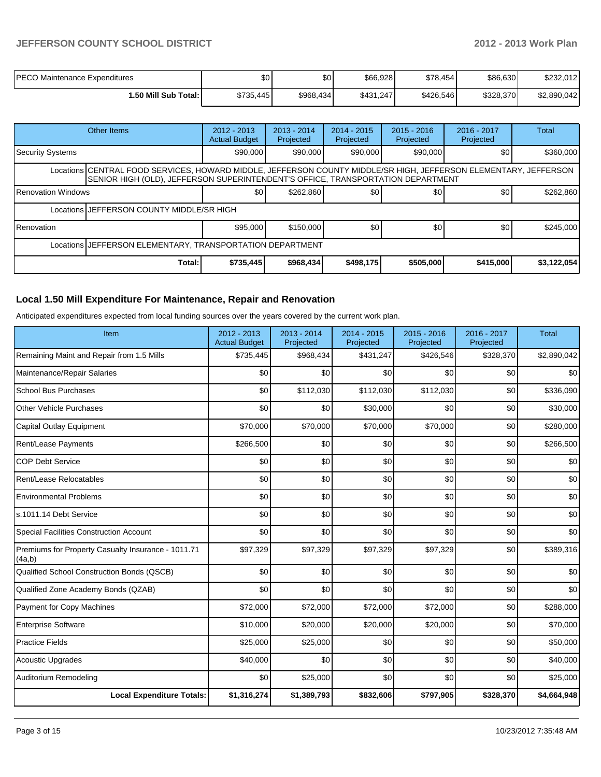# **JEFFERSON COUNTY SCHOOL DISTRICT 2012 - 2013 Work Plan**

| PECO Maintenance Expenditures | \$0       | \$٥       | \$66,928  | \$78,454  | \$86,630  | \$232.012   |
|-------------------------------|-----------|-----------|-----------|-----------|-----------|-------------|
| ا :50 Mill Sub Total.         | \$735,445 | \$968,434 | \$431,247 | \$426,546 | \$328,370 | \$2,890,042 |

|                                                                                                                                                                                                     | Other Items                               | $2012 - 2013$<br><b>Actual Budget</b> | $2013 - 2014$<br>Projected | $2014 - 2015$<br>Projected | $2015 - 2016$<br>Projected | 2016 - 2017<br>Projected | Total       |  |  |
|-----------------------------------------------------------------------------------------------------------------------------------------------------------------------------------------------------|-------------------------------------------|---------------------------------------|----------------------------|----------------------------|----------------------------|--------------------------|-------------|--|--|
| Security Systems                                                                                                                                                                                    |                                           | \$90,000                              | \$90,000                   | \$90,000                   | \$90,000                   | \$0                      | \$360,000   |  |  |
| Locations CENTRAL FOOD SERVICES, HOWARD MIDDLE, JEFFERSON COUNTY MIDDLE/SR HIGH, JEFFERSON ELEMENTARY, JEFFERSON<br>SENIOR HIGH (OLD), JEFFERSON SUPERINTENDENT'S OFFICE, TRANSPORTATION DEPARTMENT |                                           |                                       |                            |                            |                            |                          |             |  |  |
| <b>IRenovation Windows</b>                                                                                                                                                                          |                                           | \$0                                   | \$262,860                  | \$0                        | \$0                        | \$0                      | \$262,860   |  |  |
|                                                                                                                                                                                                     | Locations JEFFERSON COUNTY MIDDLE/SR HIGH |                                       |                            |                            |                            |                          |             |  |  |
| Renovation                                                                                                                                                                                          |                                           | \$95,000                              | \$150,000                  | \$0                        | \$0                        | \$0                      | \$245,000   |  |  |
| Locations JEFFERSON ELEMENTARY, TRANSPORTATION DEPARTMENT                                                                                                                                           |                                           |                                       |                            |                            |                            |                          |             |  |  |
|                                                                                                                                                                                                     | Total:                                    | \$735,445                             | \$968,434                  | \$498,175                  | \$505,000                  | \$415,000                | \$3,122,054 |  |  |

# **Local 1.50 Mill Expenditure For Maintenance, Repair and Renovation**

Anticipated expenditures expected from local funding sources over the years covered by the current work plan.

| Item                                                         | 2012 - 2013<br><b>Actual Budget</b> | 2013 - 2014<br>Projected | $2014 - 2015$<br>Projected | 2015 - 2016<br>Projected | 2016 - 2017<br>Projected | <b>Total</b> |
|--------------------------------------------------------------|-------------------------------------|--------------------------|----------------------------|--------------------------|--------------------------|--------------|
| Remaining Maint and Repair from 1.5 Mills                    | \$735,445                           | \$968,434                | \$431,247                  | \$426,546                | \$328,370                | \$2,890,042  |
| Maintenance/Repair Salaries                                  | \$0                                 | \$0                      | \$0                        | \$0                      | \$0                      | \$0          |
| <b>School Bus Purchases</b>                                  | \$0                                 | \$112,030                | \$112,030                  | \$112,030                | \$0                      | \$336,090    |
| <b>Other Vehicle Purchases</b>                               | \$0                                 | \$0                      | \$30,000                   | \$0                      | \$0                      | \$30,000     |
| Capital Outlay Equipment                                     | \$70,000                            | \$70,000                 | \$70,000                   | \$70,000                 | \$0                      | \$280,000    |
| Rent/Lease Payments                                          | \$266,500                           | \$0                      | \$0                        | \$0                      | \$0                      | \$266,500    |
| <b>COP Debt Service</b>                                      | \$0                                 | \$0                      | \$0                        | \$0                      | \$0                      | \$0          |
| Rent/Lease Relocatables                                      | \$0                                 | \$0                      | \$0                        | \$0                      | \$0                      | \$0          |
| <b>Environmental Problems</b>                                | \$0                                 | \$0                      | \$0                        | \$0                      | \$0                      | \$0          |
| s.1011.14 Debt Service                                       | \$0                                 | \$0                      | \$0                        | \$0                      | \$0                      | \$0          |
| <b>Special Facilities Construction Account</b>               | \$0                                 | \$0                      | \$0                        | \$0                      | \$0                      | \$0          |
| Premiums for Property Casualty Insurance - 1011.71<br>(4a,b) | \$97,329                            | \$97,329                 | \$97,329                   | \$97,329                 | \$0                      | \$389,316    |
| Qualified School Construction Bonds (QSCB)                   | \$0                                 | \$0                      | \$0                        | \$0                      | \$0                      | \$0          |
| Qualified Zone Academy Bonds (QZAB)                          | \$0                                 | \$0                      | \$0                        | \$0                      | \$0                      | \$0          |
| Payment for Copy Machines                                    | \$72,000                            | \$72,000                 | \$72,000                   | \$72,000                 | \$0                      | \$288,000    |
| <b>Enterprise Software</b>                                   | \$10,000                            | \$20,000                 | \$20,000                   | \$20,000                 | \$0                      | \$70,000     |
| <b>Practice Fields</b>                                       | \$25,000                            | \$25,000                 | \$0                        | \$0                      | \$0                      | \$50,000     |
| <b>Acoustic Upgrades</b>                                     | \$40,000                            | \$0                      | \$0                        | \$0                      | \$0                      | \$40,000     |
| Auditorium Remodeling                                        | \$0                                 | \$25,000                 | \$0                        | \$0                      | \$0                      | \$25,000     |
| <b>Local Expenditure Totals:</b>                             | \$1,316,274                         | \$1,389,793              | \$832,606                  | \$797,905                | \$328,370                | \$4,664,948  |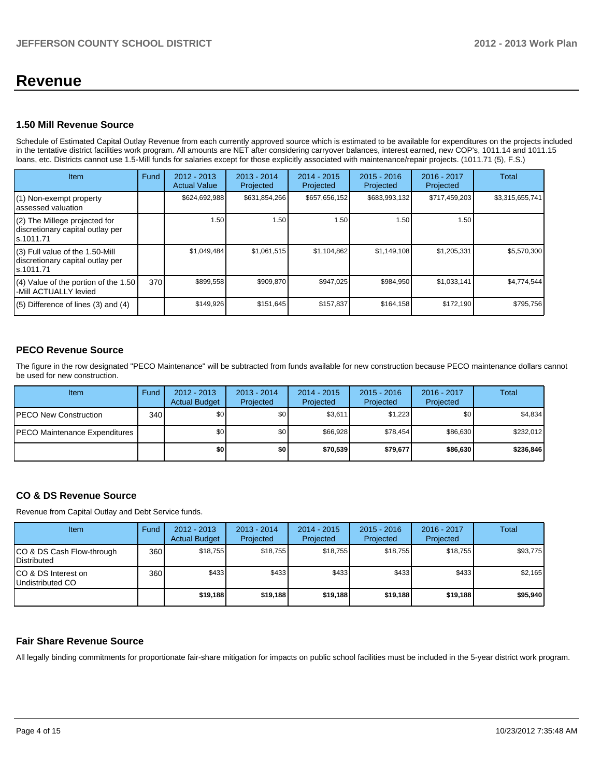# **Revenue**

### **1.50 Mill Revenue Source**

Schedule of Estimated Capital Outlay Revenue from each currently approved source which is estimated to be available for expenditures on the projects included in the tentative district facilities work program. All amounts are NET after considering carryover balances, interest earned, new COP's, 1011.14 and 1011.15 loans, etc. Districts cannot use 1.5-Mill funds for salaries except for those explicitly associated with maintenance/repair projects. (1011.71 (5), F.S.)

| <b>Item</b>                                                                         | Fund | $2012 - 2013$<br><b>Actual Value</b> | $2013 - 2014$<br>Projected | $2014 - 2015$<br>Projected | $2015 - 2016$<br>Projected | 2016 - 2017<br>Projected | Total           |
|-------------------------------------------------------------------------------------|------|--------------------------------------|----------------------------|----------------------------|----------------------------|--------------------------|-----------------|
| (1) Non-exempt property<br>lassessed valuation                                      |      | \$624,692,988                        | \$631,854,266              | \$657,656,152              | \$683,993,132              | \$717,459,203            | \$3,315,655,741 |
| $(2)$ The Millege projected for<br>discretionary capital outlay per<br>ls.1011.71   |      | 1.50                                 | 1.50                       | 1.50                       | 1.50                       | 1.50                     |                 |
| $(3)$ Full value of the 1.50-Mill<br>discretionary capital outlay per<br>ls.1011.71 |      | \$1,049,484                          | \$1,061,515                | \$1,104,862                | \$1,149,108                | \$1,205,331              | \$5,570,300     |
| (4) Value of the portion of the 1.50<br>-Mill ACTUALLY levied                       | 370  | \$899,558                            | \$909,870                  | \$947,025                  | \$984,950                  | \$1,033,141              | \$4,774,544     |
| $(5)$ Difference of lines $(3)$ and $(4)$                                           |      | \$149,926                            | \$151,645                  | \$157,837                  | \$164,158                  | \$172,190                | \$795,756       |

# **PECO Revenue Source**

The figure in the row designated "PECO Maintenance" will be subtracted from funds available for new construction because PECO maintenance dollars cannot be used for new construction.

| Item                                  | Fund | $2012 - 2013$<br><b>Actual Budget</b> | $2013 - 2014$<br>Projected | $2014 - 2015$<br>Projected | $2015 - 2016$<br>Projected | $2016 - 2017$<br>Projected | Total     |
|---------------------------------------|------|---------------------------------------|----------------------------|----------------------------|----------------------------|----------------------------|-----------|
| <b>IPECO New Construction</b>         | 340  | \$O I                                 | \$0                        | \$3,611                    | \$1,223                    | \$0                        | \$4,834   |
| <b>IPECO Maintenance Expenditures</b> |      | \$O I                                 | \$0                        | \$66.928                   | \$78,454                   | \$86,630                   | \$232,012 |
|                                       |      | \$0                                   | \$0                        | \$70,539                   | \$79.677                   | \$86,630                   | \$236,846 |

# **CO & DS Revenue Source**

Revenue from Capital Outlay and Debt Service funds.

| Item                                             | Fund | $2012 - 2013$<br><b>Actual Budget</b> | $2013 - 2014$<br>Projected | $2014 - 2015$<br>Projected | $2015 - 2016$<br>Projected | $2016 - 2017$<br>Projected | Total    |
|--------------------------------------------------|------|---------------------------------------|----------------------------|----------------------------|----------------------------|----------------------------|----------|
| ICO & DS Cash Flow-through<br><b>Distributed</b> | 360  | \$18.755                              | \$18.755                   | \$18.755                   | \$18.755                   | \$18,755                   | \$93,775 |
| ICO & DS Interest on<br>Undistributed CO         | 360  | \$433                                 | \$433                      | \$433                      | \$433                      | \$433                      | \$2,165  |
|                                                  |      | \$19.188                              | \$19.188                   | \$19.188                   | \$19,188                   | \$19,188                   | \$95,940 |

### **Fair Share Revenue Source**

All legally binding commitments for proportionate fair-share mitigation for impacts on public school facilities must be included in the 5-year district work program.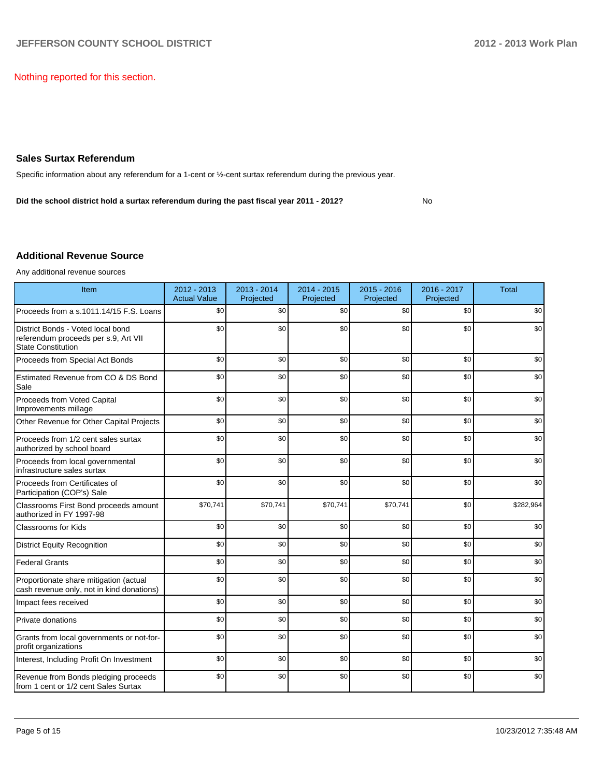Nothing reported for this section.

### **Sales Surtax Referendum**

Specific information about any referendum for a 1-cent or ½-cent surtax referendum during the previous year.

**Did the school district hold a surtax referendum during the past fiscal year 2011 - 2012?**

## No

### **Additional Revenue Source**

Any additional revenue sources

| Item                                                                                                   | 2012 - 2013<br><b>Actual Value</b> | $2013 - 2014$<br>Projected | $2014 - 2015$<br>Projected | $2015 - 2016$<br>Projected | 2016 - 2017<br>Projected | <b>Total</b> |
|--------------------------------------------------------------------------------------------------------|------------------------------------|----------------------------|----------------------------|----------------------------|--------------------------|--------------|
| Proceeds from a s.1011.14/15 F.S. Loans                                                                | \$0                                | \$0                        | \$0                        | \$0                        | \$0                      | \$0          |
| District Bonds - Voted local bond<br>referendum proceeds per s.9, Art VII<br><b>State Constitution</b> | \$0                                | \$0                        | \$0                        | \$0                        | \$0                      | \$0          |
| Proceeds from Special Act Bonds                                                                        | \$0                                | \$0                        | \$0                        | \$0                        | \$0                      | \$0          |
| Estimated Revenue from CO & DS Bond<br>Sale                                                            | \$0                                | \$0                        | \$0                        | \$0                        | \$0                      | \$0          |
| Proceeds from Voted Capital<br>Improvements millage                                                    | \$0                                | \$0                        | \$0                        | \$0                        | \$0                      | \$0          |
| Other Revenue for Other Capital Projects                                                               | \$0                                | \$0                        | \$0                        | \$0                        | \$0                      | \$0          |
| Proceeds from 1/2 cent sales surtax<br>authorized by school board                                      | \$0                                | \$0                        | \$0                        | \$0                        | \$0                      | \$0          |
| Proceeds from local governmental<br>infrastructure sales surtax                                        | \$0                                | \$0                        | \$0                        | \$0                        | \$0                      | \$0          |
| Proceeds from Certificates of<br>Participation (COP's) Sale                                            | \$0                                | \$0                        | \$0                        | \$0                        | \$0                      | \$0          |
| Classrooms First Bond proceeds amount<br>authorized in FY 1997-98                                      | \$70,741                           | \$70,741                   | \$70,741                   | \$70,741                   | \$0                      | \$282,964    |
| <b>Classrooms for Kids</b>                                                                             | \$0                                | \$0                        | \$0                        | \$0                        | \$0                      | \$0          |
| <b>District Equity Recognition</b>                                                                     | \$0                                | \$0                        | \$0                        | \$0                        | \$0                      | \$0          |
| <b>Federal Grants</b>                                                                                  | \$0                                | \$0                        | \$0                        | \$0                        | \$0                      | \$0          |
| Proportionate share mitigation (actual<br>cash revenue only, not in kind donations)                    | \$0                                | \$0                        | \$0                        | \$0                        | \$0                      | \$0          |
| Impact fees received                                                                                   | \$0                                | \$0                        | \$0                        | \$0                        | \$0                      | \$0          |
| Private donations                                                                                      | \$0                                | \$0                        | \$0                        | \$0                        | \$0                      | \$0          |
| Grants from local governments or not-for-<br>profit organizations                                      | \$0                                | \$0                        | \$0                        | \$0                        | \$0                      | \$0          |
| Interest, Including Profit On Investment                                                               | \$0                                | \$0                        | \$0                        | \$0                        | \$0                      | \$0          |
| Revenue from Bonds pledging proceeds<br>from 1 cent or 1/2 cent Sales Surtax                           | \$0                                | \$0                        | \$0                        | \$0                        | \$0                      | \$0          |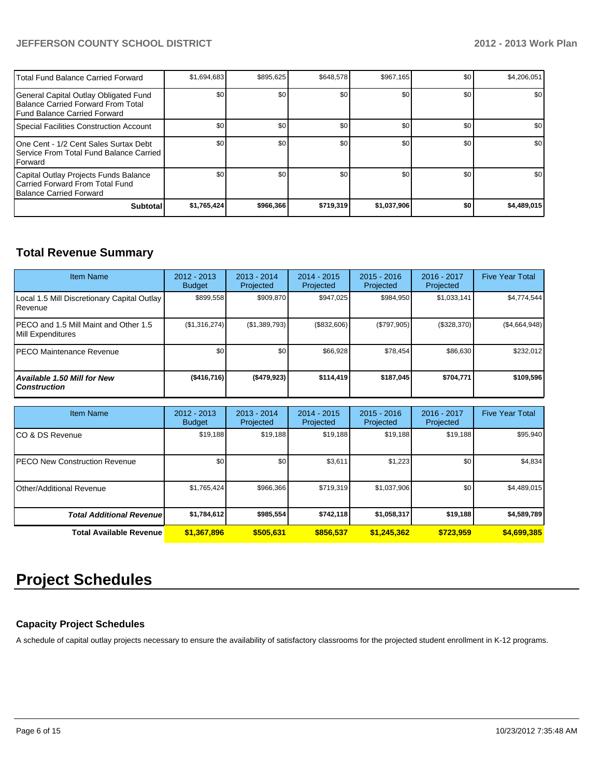# **JEFFERSON COUNTY SCHOOL DISTRICT 2012 - 2013 Work Plan**

| Total Fund Balance Carried Forward                                                                                  | \$1,694,683 | \$895.625        | \$648.578 | \$967.165   | \$0 | \$4,206,051      |
|---------------------------------------------------------------------------------------------------------------------|-------------|------------------|-----------|-------------|-----|------------------|
| General Capital Outlay Obligated Fund<br>Balance Carried Forward From Total<br><b>IFund Balance Carried Forward</b> | \$0         | \$0 <sub>1</sub> | \$0       | \$0         | \$0 | \$0              |
| Special Facilities Construction Account                                                                             | \$0         | \$0 <sub>1</sub> | \$0       | \$0         | \$0 | \$0              |
| 10ne Cent - 1/2 Cent Sales Surtax Debt<br>I Service From Total Fund Balance Carried<br><b>IForward</b>              | \$0         | \$0              | \$0       | \$0         | \$0 | \$0              |
| Capital Outlay Projects Funds Balance<br>Carried Forward From Total Fund<br><b>IBalance Carried Forward</b>         | \$0         | \$0              | \$0       | \$0         | \$0 | \$0 <sub>1</sub> |
| <b>Subtotal</b>                                                                                                     | \$1,765,424 | \$966,366        | \$719,319 | \$1,037,906 | \$0 | \$4,489,015      |

# **Total Revenue Summary**

| <b>Item Name</b>                                            | $2012 - 2013$<br><b>Budget</b> | $2013 - 2014$<br>Projected | $2014 - 2015$<br>Projected | $2015 - 2016$<br>Projected | 2016 - 2017<br>Projected | <b>Five Year Total</b> |
|-------------------------------------------------------------|--------------------------------|----------------------------|----------------------------|----------------------------|--------------------------|------------------------|
| Local 1.5 Mill Discretionary Capital Outlay<br>Revenue      | \$899,558                      | \$909.870                  | \$947,025                  | \$984,950                  | \$1,033,141              | \$4,774,544            |
| IPECO and 1.5 Mill Maint and Other 1.5<br>Mill Expenditures | (\$1,316,274)                  | (S1, 389, 793)             | (\$832,606)                | (\$797,905)                | (\$328,370)              | (\$4,664,948)          |
| <b>IPECO Maintenance Revenue</b>                            | \$0                            | \$0                        | \$66,928                   | \$78,454                   | \$86,630                 | \$232,012              |
| <b>Available 1.50 Mill for New</b><br><b>Construction</b>   | ( \$416, 716)                  | ( \$479, 923)              | \$114,419                  | \$187,045                  | \$704.771                | \$109,596              |

| <b>Item Name</b>                      | $2012 - 2013$<br><b>Budget</b> | $2013 - 2014$<br>Projected | 2014 - 2015<br>Projected | $2015 - 2016$<br>Projected | 2016 - 2017<br>Projected | <b>Five Year Total</b> |
|---------------------------------------|--------------------------------|----------------------------|--------------------------|----------------------------|--------------------------|------------------------|
| ICO & DS Revenue                      | \$19,188                       | \$19,188                   | \$19,188                 | \$19,188                   | \$19,188                 | \$95,940               |
| <b>IPECO New Construction Revenue</b> | \$0                            | \$0                        | \$3,611                  | \$1,223                    | \$0                      | \$4,834                |
| Other/Additional Revenue              | \$1,765,424                    | \$966,366                  | \$719.319                | \$1,037,906                | \$0                      | \$4,489,015            |
| <b>Total Additional Revenue</b>       | \$1,784,612                    | \$985,554                  | \$742,118                | \$1,058,317                | \$19,188                 | \$4,589,789            |
| <b>Total Available Revenue</b>        | \$1,367,896                    | \$505.631                  | \$856,537                | \$1,245,362                | \$723.959                | \$4,699,385            |

# **Project Schedules**

# **Capacity Project Schedules**

A schedule of capital outlay projects necessary to ensure the availability of satisfactory classrooms for the projected student enrollment in K-12 programs.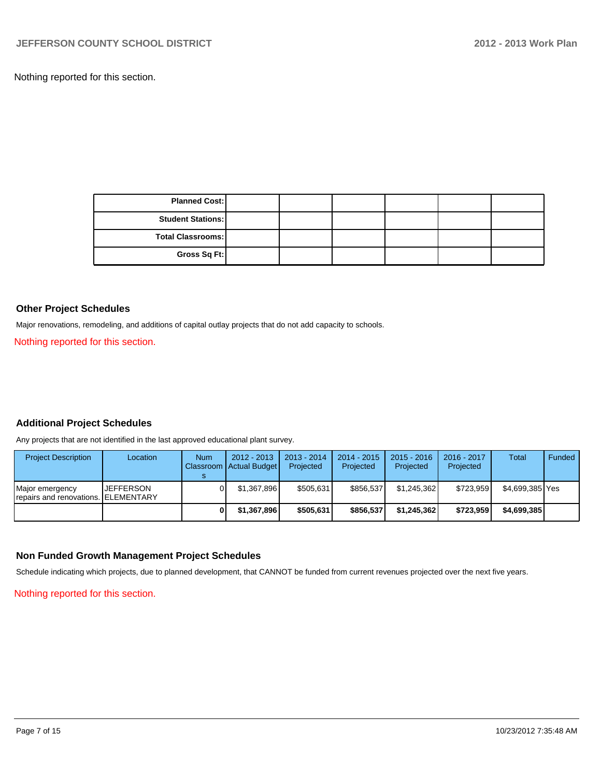Nothing reported for this section.

| <b>Planned Cost:</b>     |  |  |  |
|--------------------------|--|--|--|
| <b>Student Stations:</b> |  |  |  |
| <b>Total Classrooms:</b> |  |  |  |
| Gross Sq Ft:             |  |  |  |

#### **Other Project Schedules**

Major renovations, remodeling, and additions of capital outlay projects that do not add capacity to schools.

Nothing reported for this section.

# **Additional Project Schedules**

Any projects that are not identified in the last approved educational plant survey.

| <b>Project Description</b>                              | Location  | <b>Num</b> | $2012 - 2013$<br>Classroom Actual Budget | $2013 - 2014$<br>Projected | 2014 - 2015<br>Projected | $2015 - 2016$<br>Projected | 2016 - 2017<br>Projected | Total           | <b>Funded</b> |
|---------------------------------------------------------|-----------|------------|------------------------------------------|----------------------------|--------------------------|----------------------------|--------------------------|-----------------|---------------|
| Major emergency<br>'repairs and renovations. ELEMENTARY | JEFFERSON |            | \$1.367.896                              | \$505.631                  | \$856,537                | \$1.245.362                | \$723.959                | \$4.699.385 Yes |               |
|                                                         |           |            | \$1.367.896                              | \$505.631                  | \$856,537                | \$1.245.362                | \$723.959                | \$4,699,385     |               |

### **Non Funded Growth Management Project Schedules**

Schedule indicating which projects, due to planned development, that CANNOT be funded from current revenues projected over the next five years.

Nothing reported for this section.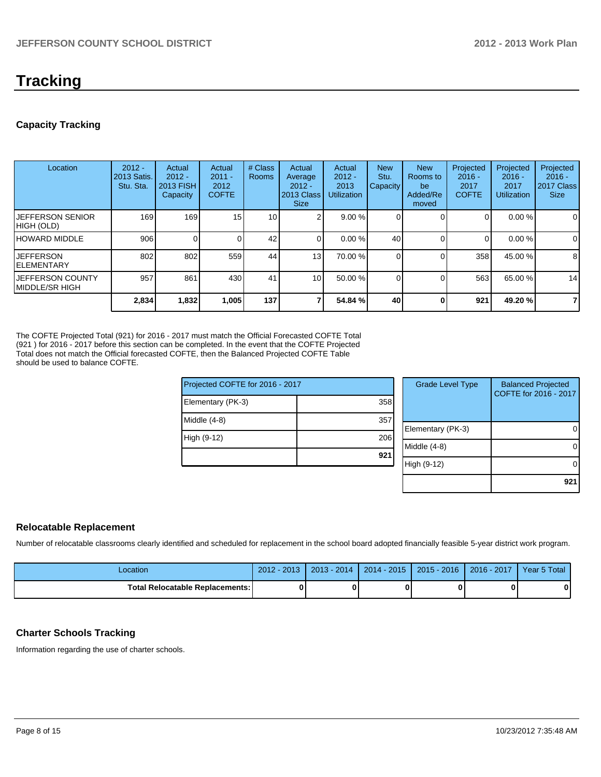# **Tracking**

# **Capacity Tracking**

| Location                                    | $2012 -$<br>2013 Satis.<br>Stu. Sta. | Actual<br>$2012 -$<br><b>2013 FISH</b><br>Capacity | Actual<br>$2011 -$<br>2012<br><b>COFTE</b> | # Class<br><b>Rooms</b> | Actual<br>Average<br>$2012 -$<br>2013 Class<br><b>Size</b> | Actual<br>$2012 -$<br>2013<br><b>Utilization</b> | <b>New</b><br>Stu.<br>Capacity | <b>New</b><br>Rooms to<br>be<br>Added/Re<br>moved | Projected<br>$2016 -$<br>2017<br><b>COFTE</b> | Projected<br>$2016 -$<br>2017<br><b>Utilization</b> | Projected<br>$2016 -$<br>2017 Class<br><b>Size</b> |
|---------------------------------------------|--------------------------------------|----------------------------------------------------|--------------------------------------------|-------------------------|------------------------------------------------------------|--------------------------------------------------|--------------------------------|---------------------------------------------------|-----------------------------------------------|-----------------------------------------------------|----------------------------------------------------|
| <b>JEFFERSON SENIOR</b><br>HIGH (OLD)       | 169                                  | 169                                                | 15                                         | 10 <sub>1</sub>         |                                                            | $9.00\%$                                         |                                |                                                   | 0                                             | 0.00%                                               | 0                                                  |
| HOWARD MIDDLE                               | 906                                  | 0                                                  |                                            | 42                      | ΩI                                                         | $0.00\%$                                         | 40                             |                                                   | $\Omega$                                      | $0.00\%$                                            | $\mathbf 0$                                        |
| <b>JEFFERSON</b><br>IELEMENTARY             | 802                                  | 802                                                | 559                                        | 44                      | 13                                                         | 70.00 %                                          |                                |                                                   | 358                                           | 45.00 %                                             | 8                                                  |
| IJEFFERSON COUNTY<br><b>IMIDDLE/SR HIGH</b> | 957                                  | 861                                                | 430                                        | 41                      | 10 <sup>1</sup>                                            | $50.00\%$                                        |                                |                                                   | 563                                           | 65.00 %                                             | 14                                                 |
|                                             | 2,834                                | 1,832                                              | 1,005                                      | 137                     |                                                            | 54.84 %                                          | 40                             | ſ                                                 | 921                                           | 49.20%                                              | $\overline{7}$                                     |

The COFTE Projected Total (921) for 2016 - 2017 must match the Official Forecasted COFTE Total (921 ) for 2016 - 2017 before this section can be completed. In the event that the COFTE Projected Total does not match the Official forecasted COFTE, then the Balanced Projected COFTE Table should be used to balance COFTE.

| Projected COFTE for 2016 - 2017 |                 |  |  |  |  |
|---------------------------------|-----------------|--|--|--|--|
| Elementary (PK-3)               | 358             |  |  |  |  |
| Middle $(4-8)$                  | 357             |  |  |  |  |
| High (9-12)                     | 206             |  |  |  |  |
|                                 | 92 <sub>1</sub> |  |  |  |  |
|                                 |                 |  |  |  |  |

| <b>Grade Level Type</b> | <b>Balanced Projected</b><br>COFTE for 2016 - 2017 |
|-------------------------|----------------------------------------------------|
| Elementary (PK-3)       |                                                    |
| Middle $(4-8)$          |                                                    |
| High (9-12)             |                                                    |
|                         |                                                    |

# **Relocatable Replacement**

Number of relocatable classrooms clearly identified and scheduled for replacement in the school board adopted financially feasible 5-year district work program.

| -ocation                               | $2012 - 2013$ | $2013 - 2014$ | 2014 - 2015   2015 - 2016   2016 - 2017 | Year 5 Total |
|----------------------------------------|---------------|---------------|-----------------------------------------|--------------|
| <b>Total Relocatable Replacements:</b> |               |               |                                         | 0            |

# **Charter Schools Tracking**

Information regarding the use of charter schools.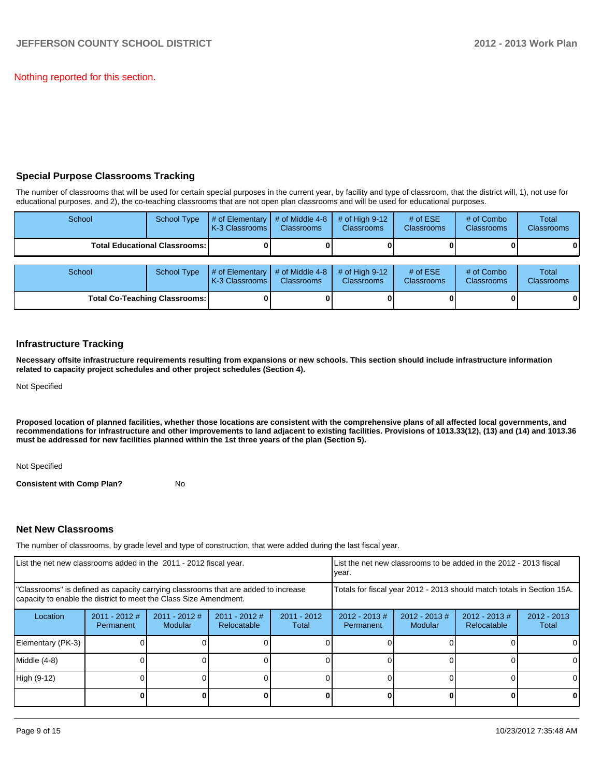Nothing reported for this section.

## **Special Purpose Classrooms Tracking**

The number of classrooms that will be used for certain special purposes in the current year, by facility and type of classroom, that the district will, 1), not use for educational purposes, and 2), the co-teaching classrooms that are not open plan classrooms and will be used for educational purposes.

| School                                 | <b>School Type</b>                   | # of Elementary<br>K-3 Classrooms I | # of Middle 4-8<br><b>Classrooms</b> | # of High $9-12$<br><b>Classrooms</b> | # of $ESE$<br><b>Classrooms</b> | # of Combo<br><b>Classrooms</b> | Total<br><b>Classrooms</b> |
|----------------------------------------|--------------------------------------|-------------------------------------|--------------------------------------|---------------------------------------|---------------------------------|---------------------------------|----------------------------|
| <b>Total Educational Classrooms: I</b> |                                      |                                     |                                      |                                       |                                 |                                 | 01                         |
|                                        |                                      |                                     |                                      |                                       |                                 |                                 |                            |
| School                                 | <b>School Type</b>                   | # of Elementary<br>K-3 Classrooms   | # of Middle 4-8<br><b>Classrooms</b> | # of High $9-12$<br><b>Classrooms</b> | # of $ESE$<br>Classrooms        | # of Combo<br><b>Classrooms</b> | Total<br><b>Classrooms</b> |
|                                        | <b>Total Co-Teaching Classrooms:</b> |                                     |                                      |                                       |                                 |                                 | 01                         |

### **Infrastructure Tracking**

**Necessary offsite infrastructure requirements resulting from expansions or new schools. This section should include infrastructure information related to capacity project schedules and other project schedules (Section 4).**

Not Specified

**Proposed location of planned facilities, whether those locations are consistent with the comprehensive plans of all affected local governments, and recommendations for infrastructure and other improvements to land adjacent to existing facilities. Provisions of 1013.33(12), (13) and (14) and 1013.36 must be addressed for new facilities planned within the 1st three years of the plan (Section 5).**

Not Specified

**Consistent with Comp Plan?** No

### **Net New Classrooms**

The number of classrooms, by grade level and type of construction, that were added during the last fiscal year.

| List the net new classrooms added in the 2011 - 2012 fiscal year.                                                                                       |                              |                          |                                |                                                                        | List the net new classrooms to be added in the 2012 - 2013 fiscal<br>Ivear. |                             |                                 |                        |
|---------------------------------------------------------------------------------------------------------------------------------------------------------|------------------------------|--------------------------|--------------------------------|------------------------------------------------------------------------|-----------------------------------------------------------------------------|-----------------------------|---------------------------------|------------------------|
| "Classrooms" is defined as capacity carrying classrooms that are added to increase<br>capacity to enable the district to meet the Class Size Amendment. |                              |                          |                                | Totals for fiscal year 2012 - 2013 should match totals in Section 15A. |                                                                             |                             |                                 |                        |
| Location                                                                                                                                                | $2011 - 2012$ #<br>Permanent | 2011 - 2012 #<br>Modular | $2011 - 2012$ #<br>Relocatable | $2011 - 2012$<br>Total                                                 | $2012 - 2013$ #<br>Permanent                                                | $2012 - 2013 \#$<br>Modular | $2012 - 2013 \#$<br>Relocatable | $2012 - 2013$<br>Total |
| Elementary (PK-3)                                                                                                                                       |                              |                          |                                |                                                                        |                                                                             |                             |                                 | $\Omega$               |
| Middle (4-8)                                                                                                                                            |                              |                          |                                |                                                                        |                                                                             |                             |                                 | $\Omega$               |
| High (9-12)                                                                                                                                             |                              |                          |                                |                                                                        |                                                                             |                             |                                 | 0                      |
|                                                                                                                                                         |                              |                          |                                |                                                                        |                                                                             |                             |                                 | 0                      |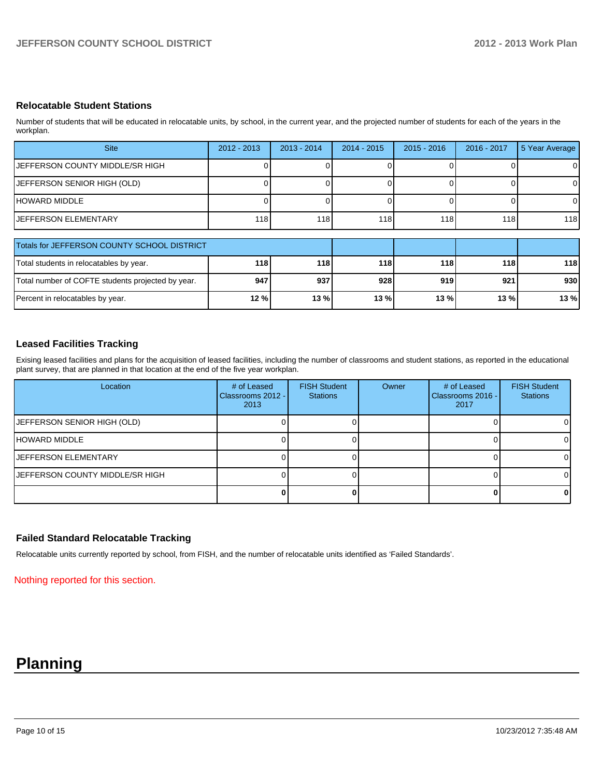## **Relocatable Student Stations**

Number of students that will be educated in relocatable units, by school, in the current year, and the projected number of students for each of the years in the workplan.

| <b>Site</b>                                 | $2012 - 2013$    | $2013 - 2014$ | $2014 - 2015$ | $2015 - 2016$ | $2016 - 2017$ | 5 Year Average |
|---------------------------------------------|------------------|---------------|---------------|---------------|---------------|----------------|
| IJEFFERSON COUNTY MIDDLE/SR HIGH            |                  |               |               |               |               | $\mathbf 0$    |
| JEFFERSON SENIOR HIGH (OLD)                 |                  |               |               |               |               | 0              |
| IHOWARD MIDDLE                              |                  |               |               |               |               | 0              |
| <b>JEFFERSON ELEMENTARY</b>                 | 118 <sup>1</sup> | 118           | 118           | 118           | 118           | 118            |
|                                             |                  |               |               |               |               |                |
| Totals for JEFFERSON COUNTY SCHOOL DISTRICT |                  |               |               |               |               |                |
| Total students in relocatables by year.     | 118              | 118           | 118           | 118           | 118 l         | 118            |

| Total students in relocatables by year.           | 118 | 118    | 118     | 118    | 118 I | 118 I |
|---------------------------------------------------|-----|--------|---------|--------|-------|-------|
| Total number of COFTE students projected by year. | 947 | 937    | 928     | 919    | 921 l | 930 I |
| Percent in relocatables by year.                  | 12% | 13 % l | $13 \%$ | $13\%$ | 13%   | 13 %  |

# **Leased Facilities Tracking**

Exising leased facilities and plans for the acquisition of leased facilities, including the number of classrooms and student stations, as reported in the educational plant survey, that are planned in that location at the end of the five year workplan.

| Location                               | # of Leased<br>Classrooms 2012 -<br>2013 | <b>FISH Student</b><br><b>Stations</b> | Owner | # of Leased<br>Classrooms 2016 -<br>2017 | <b>FISH Student</b><br><b>Stations</b> |
|----------------------------------------|------------------------------------------|----------------------------------------|-------|------------------------------------------|----------------------------------------|
| JEFFERSON SENIOR HIGH (OLD)            |                                          |                                        |       |                                          | 01                                     |
| HOWARD MIDDLE                          |                                          |                                        |       |                                          | ΟI                                     |
| <b>IJEFFERSON ELEMENTARY</b>           |                                          |                                        |       |                                          | ΟI                                     |
| <b>JEFFERSON COUNTY MIDDLE/SR HIGH</b> |                                          |                                        |       |                                          | ΩI                                     |
|                                        |                                          |                                        |       |                                          | 01                                     |

### **Failed Standard Relocatable Tracking**

Relocatable units currently reported by school, from FISH, and the number of relocatable units identified as 'Failed Standards'.

Nothing reported for this section.

# **Planning**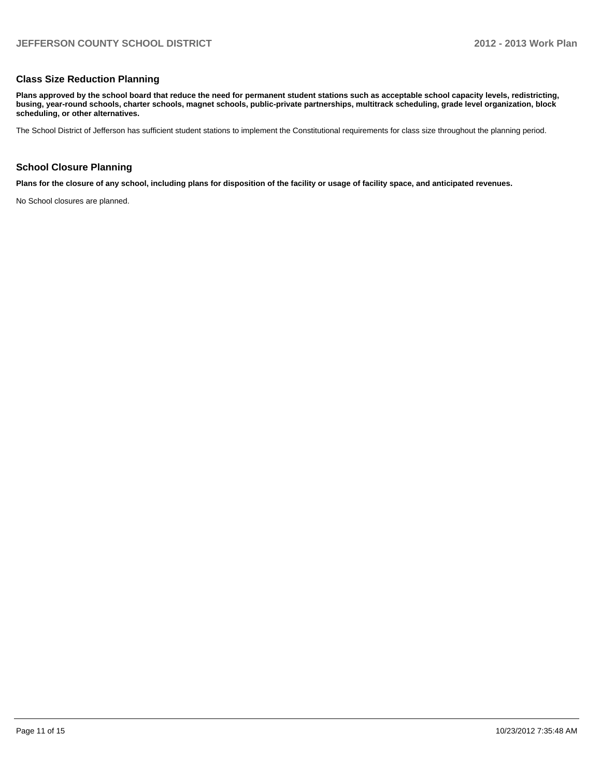### **Class Size Reduction Planning**

**Plans approved by the school board that reduce the need for permanent student stations such as acceptable school capacity levels, redistricting, busing, year-round schools, charter schools, magnet schools, public-private partnerships, multitrack scheduling, grade level organization, block scheduling, or other alternatives.**

The School District of Jefferson has sufficient student stations to implement the Constitutional requirements for class size throughout the planning period.

### **School Closure Planning**

**Plans for the closure of any school, including plans for disposition of the facility or usage of facility space, and anticipated revenues.**

No School closures are planned.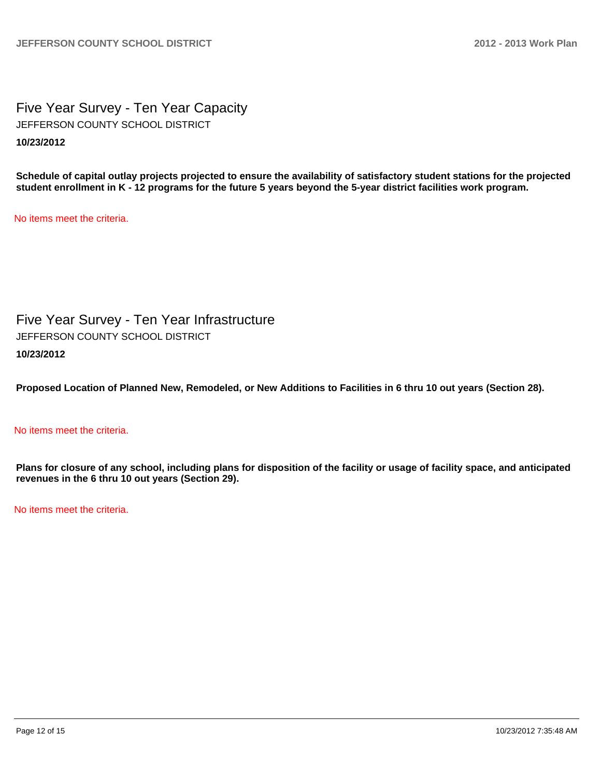Five Year Survey - Ten Year Capacity **10/23/2012** JEFFERSON COUNTY SCHOOL DISTRICT

**Schedule of capital outlay projects projected to ensure the availability of satisfactory student stations for the projected student enrollment in K - 12 programs for the future 5 years beyond the 5-year district facilities work program.**

No items meet the criteria.

Five Year Survey - Ten Year Infrastructure **10/23/2012** JEFFERSON COUNTY SCHOOL DISTRICT

**Proposed Location of Planned New, Remodeled, or New Additions to Facilities in 6 thru 10 out years (Section 28).**

## No items meet the criteria.

**Plans for closure of any school, including plans for disposition of the facility or usage of facility space, and anticipated revenues in the 6 thru 10 out years (Section 29).**

No items meet the criteria.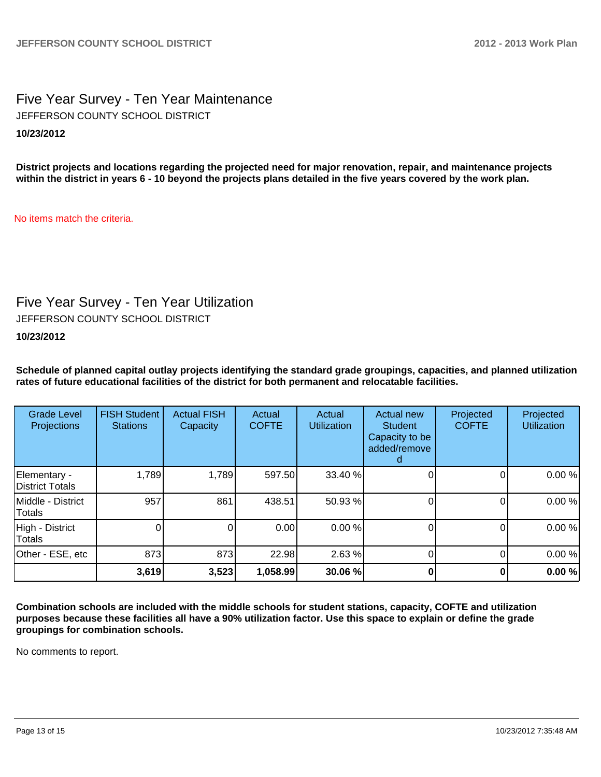# Five Year Survey - Ten Year Maintenance **10/23/2012** JEFFERSON COUNTY SCHOOL DISTRICT

**District projects and locations regarding the projected need for major renovation, repair, and maintenance projects within the district in years 6 - 10 beyond the projects plans detailed in the five years covered by the work plan.**

No items match the criteria.

# Five Year Survey - Ten Year Utilization

JEFFERSON COUNTY SCHOOL DISTRICT

# **10/23/2012**

**Schedule of planned capital outlay projects identifying the standard grade groupings, capacities, and planned utilization rates of future educational facilities of the district for both permanent and relocatable facilities.**

| <b>Grade Level</b><br>Projections | <b>FISH Student</b><br><b>Stations</b> | <b>Actual FISH</b><br>Capacity | Actual<br><b>COFTE</b> | Actual<br><b>Utilization</b> | Actual new<br><b>Student</b><br>Capacity to be<br>added/remove | Projected<br><b>COFTE</b> | Projected<br><b>Utilization</b> |
|-----------------------------------|----------------------------------------|--------------------------------|------------------------|------------------------------|----------------------------------------------------------------|---------------------------|---------------------------------|
| Elementary -<br>District Totals   | 1,789                                  | 1,789                          | 597.50                 | 33.40 %                      |                                                                |                           | 0.00%                           |
| Middle - District<br>Totals       | 957                                    | 861                            | 438.51                 | 50.93 %                      |                                                                |                           | 0.00%                           |
| High - District<br>Totals         |                                        | 0                              | 0.00                   | 0.00 %                       |                                                                | 0                         | 0.00%                           |
| Other - ESE, etc                  | 873                                    | 873                            | 22.98                  | 2.63%                        |                                                                |                           | 0.00%                           |
|                                   | 3,619                                  | 3,523                          | 1,058.99               | 30.06 %                      |                                                                |                           | 0.00%                           |

**Combination schools are included with the middle schools for student stations, capacity, COFTE and utilization purposes because these facilities all have a 90% utilization factor. Use this space to explain or define the grade groupings for combination schools.**

No comments to report.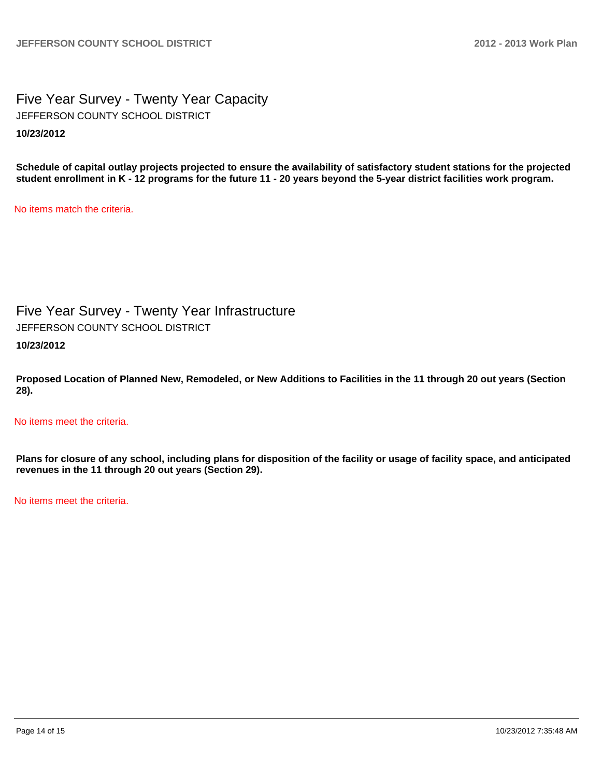Five Year Survey - Twenty Year Capacity **10/23/2012** JEFFERSON COUNTY SCHOOL DISTRICT

**Schedule of capital outlay projects projected to ensure the availability of satisfactory student stations for the projected student enrollment in K - 12 programs for the future 11 - 20 years beyond the 5-year district facilities work program.**

No items match the criteria.

Five Year Survey - Twenty Year Infrastructure

JEFFERSON COUNTY SCHOOL DISTRICT

**10/23/2012**

**Proposed Location of Planned New, Remodeled, or New Additions to Facilities in the 11 through 20 out years (Section 28).**

No items meet the criteria.

**Plans for closure of any school, including plans for disposition of the facility or usage of facility space, and anticipated revenues in the 11 through 20 out years (Section 29).**

No items meet the criteria.